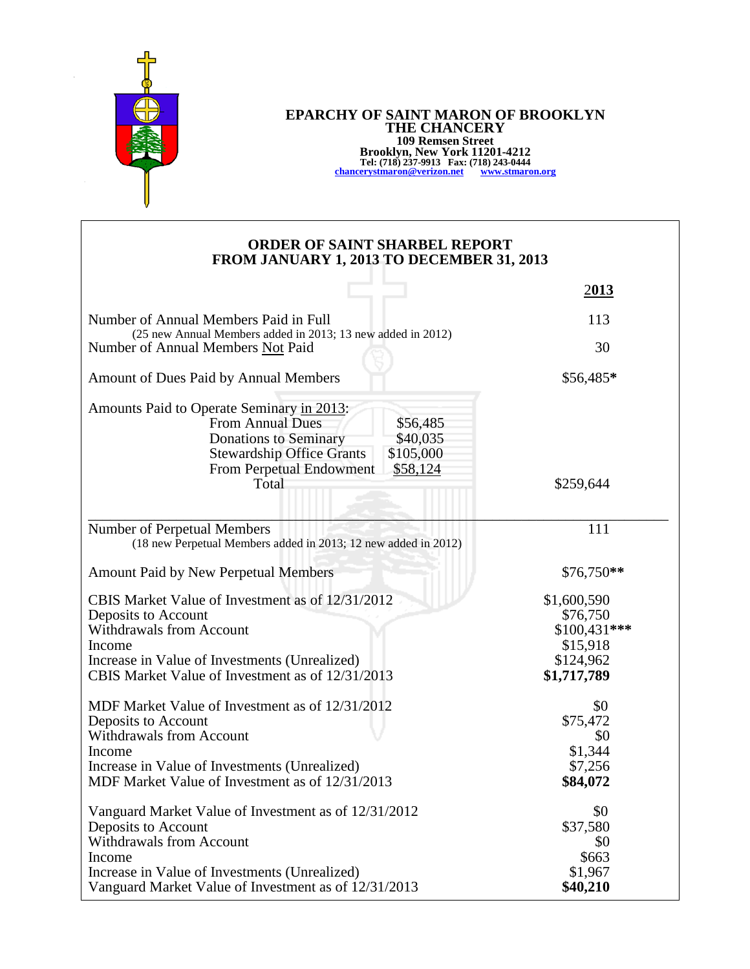

## **EPARCHY OF SAINT MARON OF BROOKLYN THE CHANCERY 109 Remsen Street Brooklyn, New York 11201-4212 Tel: (718) 237-9913 Fax: (718) 243-0444 [chancerystmaron@verizon.net](mailto:chancerystmaron@verizon.net) [www.stmaron.org](http://www.stmaron.org/)**

## **ORDER OF SAINT SHARBEL REPORT FROM JANUARY 1, 2013 TO DECEMBER 31, 2013**

|                                                                                                                                                                                                                                | 2013                                                                             |
|--------------------------------------------------------------------------------------------------------------------------------------------------------------------------------------------------------------------------------|----------------------------------------------------------------------------------|
| Number of Annual Members Paid in Full<br>(25 new Annual Members added in 2013; 13 new added in 2012)                                                                                                                           | 113                                                                              |
| Number of Annual Members Not Paid                                                                                                                                                                                              | 30                                                                               |
| Amount of Dues Paid by Annual Members                                                                                                                                                                                          | \$56,485*                                                                        |
| Amounts Paid to Operate Seminary in 2013:<br><b>From Annual Dues</b><br>\$56,485<br><b>Donations to Seminary</b><br>\$40,035<br><b>Stewardship Office Grants</b><br>\$105,000<br>From Perpetual Endowment<br>\$58,124<br>Total | \$259,644                                                                        |
| Number of Perpetual Members<br>(18 new Perpetual Members added in 2013; 12 new added in 2012)                                                                                                                                  | 111                                                                              |
| <b>Amount Paid by New Perpetual Members</b>                                                                                                                                                                                    | $$76,750**$                                                                      |
| CBIS Market Value of Investment as of 12/31/2012<br>Deposits to Account<br><b>Withdrawals from Account</b><br>Income<br>Increase in Value of Investments (Unrealized)<br>CBIS Market Value of Investment as of 12/31/2013      | \$1,600,590<br>\$76,750<br>$$100,431***$<br>\$15,918<br>\$124,962<br>\$1,717,789 |
| MDF Market Value of Investment as of 12/31/2012<br>Deposits to Account<br><b>Withdrawals from Account</b><br>Income<br>Increase in Value of Investments (Unrealized)<br>MDF Market Value of Investment as of 12/31/2013        | \$0<br>\$75,472<br>\$0<br>\$1,344<br>\$7,256<br>\$84,072                         |
| Vanguard Market Value of Investment as of 12/31/2012<br>Deposits to Account<br>Withdrawals from Account<br>Income<br>Increase in Value of Investments (Unrealized)<br>Vanguard Market Value of Investment as of 12/31/2013     | \$0<br>\$37,580<br>\$0<br>\$663<br>\$1,967<br>\$40,210                           |